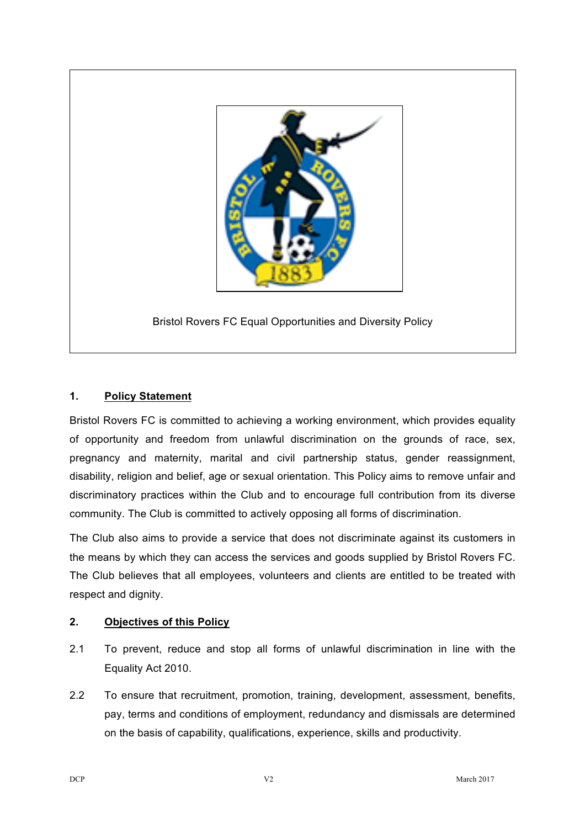

Bristol Rovers FC Equal Opportunities and Diversity Policy

# **1. Policy Statement**

Bristol Rovers FC is committed to achieving a working environment, which provides equality of opportunity and freedom from unlawful discrimination on the grounds of race, sex, pregnancy and maternity, marital and civil partnership status, gender reassignment, disability, religion and belief, age or sexual orientation. This Policy aims to remove unfair and discriminatory practices within the Club and to encourage full contribution from its diverse community. The Club is committed to actively opposing all forms of discrimination.

The Club also aims to provide a service that does not discriminate against its customers in the means by which they can access the services and goods supplied by Bristol Rovers FC. The Club believes that all employees, volunteers and clients are entitled to be treated with respect and dignity.

### **2. Objectives of this Policy**

- 2.1 To prevent, reduce and stop all forms of unlawful discrimination in line with the Equality Act 2010.
- 2.2 To ensure that recruitment, promotion, training, development, assessment, benefits, pay, terms and conditions of employment, redundancy and dismissals are determined on the basis of capability, qualifications, experience, skills and productivity.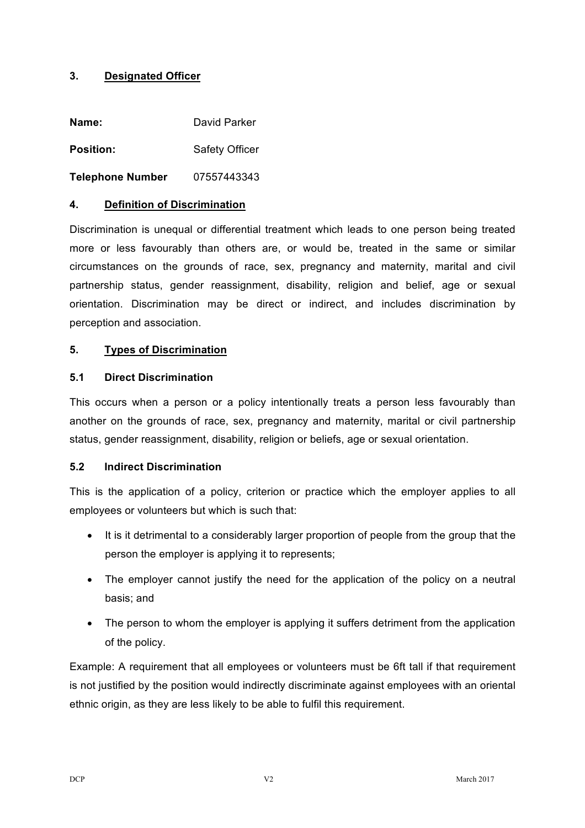## **3. Designated Officer**

| Name:                   | David Parker          |
|-------------------------|-----------------------|
| <b>Position:</b>        | <b>Safety Officer</b> |
| <b>Telephone Number</b> | 07557443343           |

#### **4. Definition of Discrimination**

Discrimination is unequal or differential treatment which leads to one person being treated more or less favourably than others are, or would be, treated in the same or similar circumstances on the grounds of race, sex, pregnancy and maternity, marital and civil partnership status, gender reassignment, disability, religion and belief, age or sexual orientation. Discrimination may be direct or indirect, and includes discrimination by perception and association.

#### **5. Types of Discrimination**

#### **5.1 Direct Discrimination**

This occurs when a person or a policy intentionally treats a person less favourably than another on the grounds of race, sex, pregnancy and maternity, marital or civil partnership status, gender reassignment, disability, religion or beliefs, age or sexual orientation.

### **5.2 Indirect Discrimination**

This is the application of a policy, criterion or practice which the employer applies to all employees or volunteers but which is such that:

- It is it detrimental to a considerably larger proportion of people from the group that the person the employer is applying it to represents;
- The employer cannot justify the need for the application of the policy on a neutral basis; and
- The person to whom the employer is applying it suffers detriment from the application of the policy.

Example: A requirement that all employees or volunteers must be 6ft tall if that requirement is not justified by the position would indirectly discriminate against employees with an oriental ethnic origin, as they are less likely to be able to fulfil this requirement.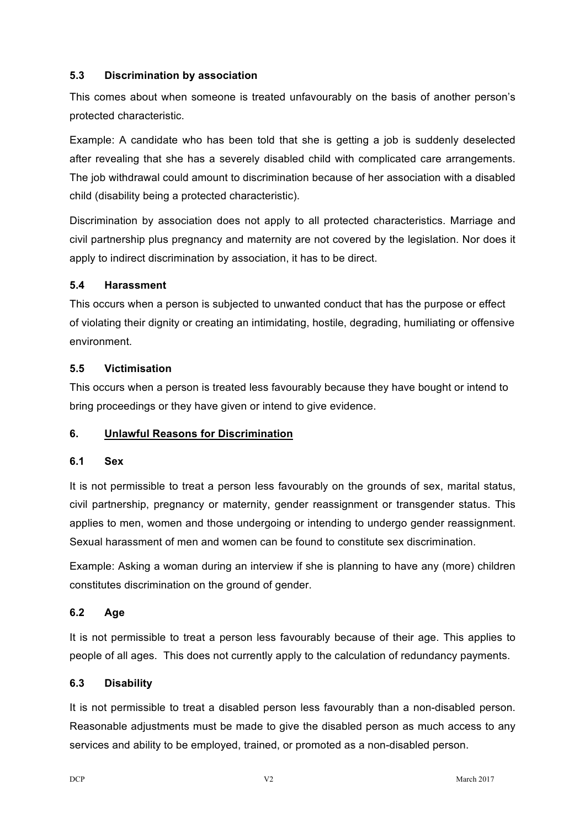## **5.3 Discrimination by association**

This comes about when someone is treated unfavourably on the basis of another person's protected characteristic.

Example: A candidate who has been told that she is getting a job is suddenly deselected after revealing that she has a severely disabled child with complicated care arrangements. The job withdrawal could amount to discrimination because of her association with a disabled child (disability being a protected characteristic).

Discrimination by association does not apply to all protected characteristics. Marriage and civil partnership plus pregnancy and maternity are not covered by the legislation. Nor does it apply to indirect discrimination by association, it has to be direct.

## **5.4 Harassment**

This occurs when a person is subjected to unwanted conduct that has the purpose or effect of violating their dignity or creating an intimidating, hostile, degrading, humiliating or offensive environment.

## **5.5 Victimisation**

This occurs when a person is treated less favourably because they have bought or intend to bring proceedings or they have given or intend to give evidence.

# **6. Unlawful Reasons for Discrimination**

### **6.1 Sex**

It is not permissible to treat a person less favourably on the grounds of sex, marital status, civil partnership, pregnancy or maternity, gender reassignment or transgender status. This applies to men, women and those undergoing or intending to undergo gender reassignment. Sexual harassment of men and women can be found to constitute sex discrimination.

Example: Asking a woman during an interview if she is planning to have any (more) children constitutes discrimination on the ground of gender.

# **6.2 Age**

It is not permissible to treat a person less favourably because of their age. This applies to people of all ages. This does not currently apply to the calculation of redundancy payments.

### **6.3 Disability**

It is not permissible to treat a disabled person less favourably than a non-disabled person. Reasonable adjustments must be made to give the disabled person as much access to any services and ability to be employed, trained, or promoted as a non-disabled person.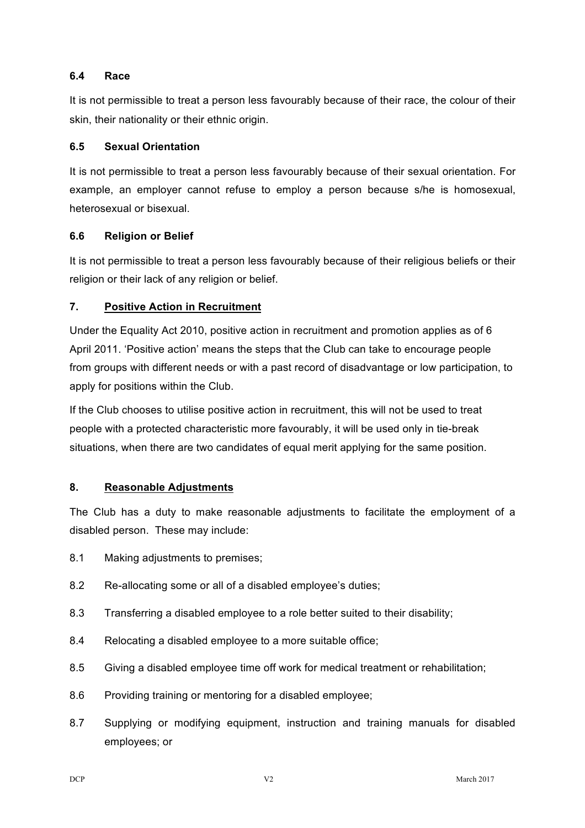### **6.4 Race**

It is not permissible to treat a person less favourably because of their race, the colour of their skin, their nationality or their ethnic origin.

### **6.5 Sexual Orientation**

It is not permissible to treat a person less favourably because of their sexual orientation. For example, an employer cannot refuse to employ a person because s/he is homosexual, heterosexual or bisexual.

## **6.6 Religion or Belief**

It is not permissible to treat a person less favourably because of their religious beliefs or their religion or their lack of any religion or belief.

# **7. Positive Action in Recruitment**

Under the Equality Act 2010, positive action in recruitment and promotion applies as of 6 April 2011. 'Positive action' means the steps that the Club can take to encourage people from groups with different needs or with a past record of disadvantage or low participation, to apply for positions within the Club.

If the Club chooses to utilise positive action in recruitment, this will not be used to treat people with a protected characteristic more favourably, it will be used only in tie-break situations, when there are two candidates of equal merit applying for the same position.

# **8. Reasonable Adjustments**

The Club has a duty to make reasonable adjustments to facilitate the employment of a disabled person. These may include:

- 8.1 Making adjustments to premises;
- 8.2 Re-allocating some or all of a disabled employee's duties;
- 8.3 Transferring a disabled employee to a role better suited to their disability;
- 8.4 Relocating a disabled employee to a more suitable office;
- 8.5 Giving a disabled employee time off work for medical treatment or rehabilitation;
- 8.6 Providing training or mentoring for a disabled employee;
- 8.7 Supplying or modifying equipment, instruction and training manuals for disabled employees; or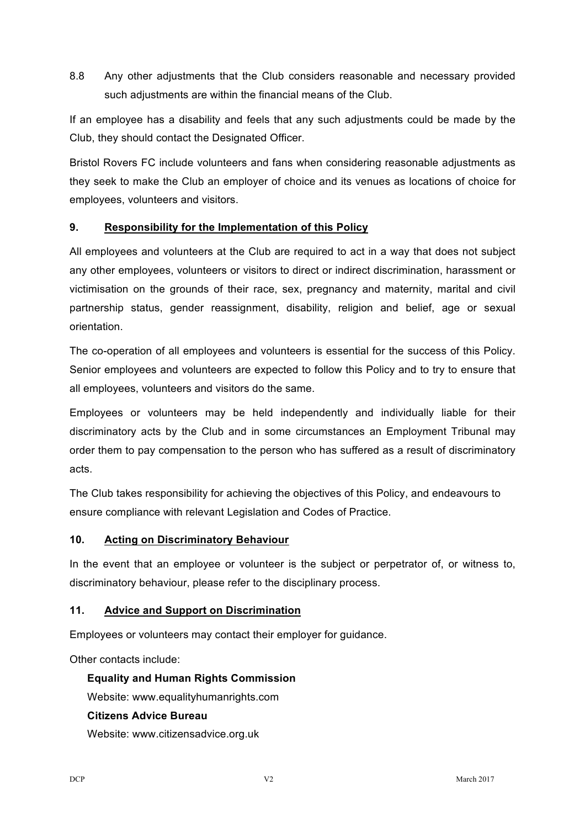8.8 Any other adjustments that the Club considers reasonable and necessary provided such adjustments are within the financial means of the Club.

If an employee has a disability and feels that any such adjustments could be made by the Club, they should contact the Designated Officer.

Bristol Rovers FC include volunteers and fans when considering reasonable adjustments as they seek to make the Club an employer of choice and its venues as locations of choice for employees, volunteers and visitors.

# **9. Responsibility for the Implementation of this Policy**

All employees and volunteers at the Club are required to act in a way that does not subject any other employees, volunteers or visitors to direct or indirect discrimination, harassment or victimisation on the grounds of their race, sex, pregnancy and maternity, marital and civil partnership status, gender reassignment, disability, religion and belief, age or sexual orientation.

The co-operation of all employees and volunteers is essential for the success of this Policy. Senior employees and volunteers are expected to follow this Policy and to try to ensure that all employees, volunteers and visitors do the same.

Employees or volunteers may be held independently and individually liable for their discriminatory acts by the Club and in some circumstances an Employment Tribunal may order them to pay compensation to the person who has suffered as a result of discriminatory acts.

The Club takes responsibility for achieving the objectives of this Policy, and endeavours to ensure compliance with relevant Legislation and Codes of Practice.

### **10. Acting on Discriminatory Behaviour**

In the event that an employee or volunteer is the subject or perpetrator of, or witness to, discriminatory behaviour, please refer to the disciplinary process.

### **11. Advice and Support on Discrimination**

Employees or volunteers may contact their employer for guidance.

Other contacts include:

**Equality and Human Rights Commission**

Website: www.equalityhumanrights.com

### **Citizens Advice Bureau**

Website: www.citizensadvice.org.uk